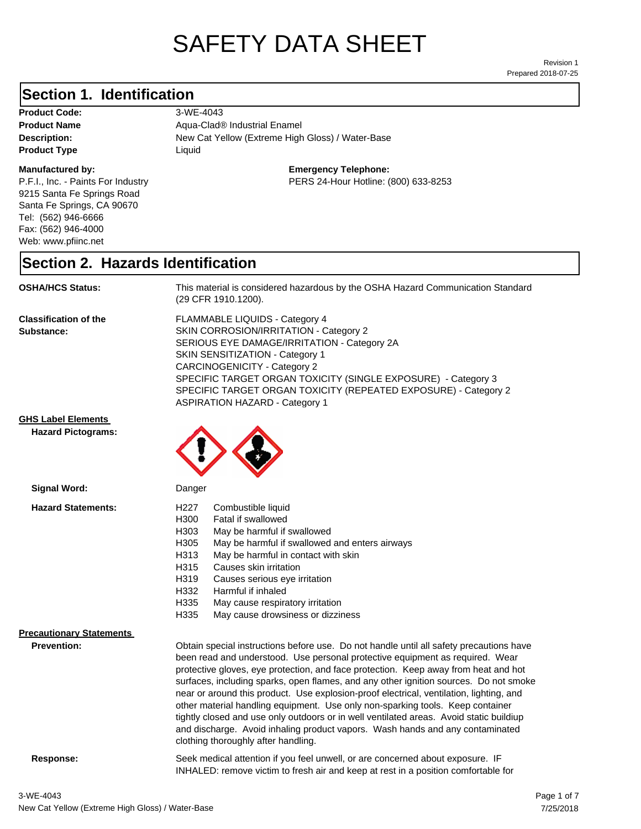# SAFETY DATA SHEET

Prepared 2018-07-25 Revision 1

### **Section 1. Identification**

**Product Code:** 3-WE-4043 **Product Type Liquid Liquid** 

### **Manufactured by:**

P.F.I., Inc. - Paints For Industry 9215 Santa Fe Springs Road Santa Fe Springs, CA 90670 Tel: (562) 946-6666 Fax: (562) 946-4000 Web: www.pfiinc.net

**Description:** New Cat Yellow (Extreme High Gloss) / Water-Base **Product Name** Aqua-Clad<sup>®</sup> Industrial Enamel

### **Emergency Telephone:**

PERS 24-Hour Hotline: (800) 633-8253

### **Section 2. Hazards Identification**

**OSHA/HCS Status:** This material is considered hazardous by the OSHA Hazard Communication Standard (29 CFR 1910.1200).

**Classification of the Substance:**

FLAMMABLE LIQUIDS - Category 4 SKIN CORROSION/IRRITATION - Category 2 SERIOUS EYE DAMAGE/IRRITATION - Category 2A SKIN SENSITIZATION - Category 1 CARCINOGENICITY - Category 2 SPECIFIC TARGET ORGAN TOXICITY (SINGLE EXPOSURE) - Category 3 SPECIFIC TARGET ORGAN TOXICITY (REPEATED EXPOSURE) - Category 2 ASPIRATION HAZARD - Category 1

**GHS Label Elements**

**Hazard Pictograms:**



| Signal Word:                                          | Danger                                                                                                                                                                                                                                                                                                                                                                                                                                                                                                                                                                                                                                                                                                                                                   |  |
|-------------------------------------------------------|----------------------------------------------------------------------------------------------------------------------------------------------------------------------------------------------------------------------------------------------------------------------------------------------------------------------------------------------------------------------------------------------------------------------------------------------------------------------------------------------------------------------------------------------------------------------------------------------------------------------------------------------------------------------------------------------------------------------------------------------------------|--|
| <b>Hazard Statements:</b>                             | H227<br>Combustible liquid<br>H300<br>Fatal if swallowed<br>H303<br>May be harmful if swallowed<br>H <sub>305</sub><br>May be harmful if swallowed and enters airways<br>H313<br>May be harmful in contact with skin<br>Causes skin irritation<br>H315<br>H319<br>Causes serious eye irritation<br>H332<br>Harmful if inhaled<br>H335<br>May cause respiratory irritation<br>H335<br>May cause drowsiness or dizziness                                                                                                                                                                                                                                                                                                                                   |  |
| <b>Precautionary Statements</b><br><b>Prevention:</b> | Obtain special instructions before use. Do not handle until all safety precautions have<br>been read and understood. Use personal protective equipment as required. Wear<br>protective gloves, eye protection, and face protection. Keep away from heat and hot<br>surfaces, including sparks, open flames, and any other ignition sources. Do not smoke<br>near or around this product. Use explosion-proof electrical, ventilation, lighting, and<br>other material handling equipment. Use only non-sparking tools. Keep container<br>tightly closed and use only outdoors or in well ventilated areas. Avoid static buildiup<br>and discharge. Avoid inhaling product vapors. Wash hands and any contaminated<br>clothing thoroughly after handling. |  |
|                                                       |                                                                                                                                                                                                                                                                                                                                                                                                                                                                                                                                                                                                                                                                                                                                                          |  |

**Response:** Seek medical attention if you feel unwell, or are concerned about exposure. IF INHALED: remove victim to fresh air and keep at rest in a position comfortable for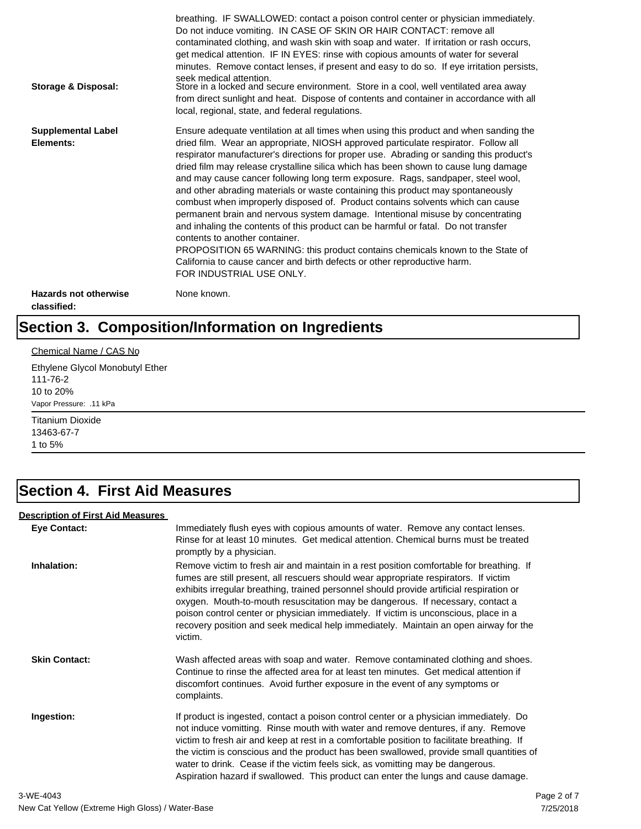| Storage & Disposal:                         | breathing. IF SWALLOWED: contact a poison control center or physician immediately.<br>Do not induce vomiting. IN CASE OF SKIN OR HAIR CONTACT: remove all<br>contaminated clothing, and wash skin with soap and water. If irritation or rash occurs,<br>get medical attention. IF IN EYES: rinse with copious amounts of water for several<br>minutes. Remove contact lenses, if present and easy to do so. If eye irritation persists,<br>seek medical attention.<br>Store in a locked and secure environment. Store in a cool, well ventilated area away<br>from direct sunlight and heat. Dispose of contents and container in accordance with all<br>local, regional, state, and federal regulations.                                                                                                                                                                                                                                                                                                                |
|---------------------------------------------|--------------------------------------------------------------------------------------------------------------------------------------------------------------------------------------------------------------------------------------------------------------------------------------------------------------------------------------------------------------------------------------------------------------------------------------------------------------------------------------------------------------------------------------------------------------------------------------------------------------------------------------------------------------------------------------------------------------------------------------------------------------------------------------------------------------------------------------------------------------------------------------------------------------------------------------------------------------------------------------------------------------------------|
| <b>Supplemental Label</b><br>Elements:      | Ensure adequate ventilation at all times when using this product and when sanding the<br>dried film. Wear an appropriate, NIOSH approved particulate respirator. Follow all<br>respirator manufacturer's directions for proper use. Abrading or sanding this product's<br>dried film may release crystalline silica which has been shown to cause lung damage<br>and may cause cancer following long term exposure. Rags, sandpaper, steel wool,<br>and other abrading materials or waste containing this product may spontaneously<br>combust when improperly disposed of. Product contains solvents which can cause<br>permanent brain and nervous system damage. Intentional misuse by concentrating<br>and inhaling the contents of this product can be harmful or fatal. Do not transfer<br>contents to another container.<br>PROPOSITION 65 WARNING: this product contains chemicals known to the State of<br>California to cause cancer and birth defects or other reproductive harm.<br>FOR INDUSTRIAL USE ONLY. |
| <b>Hazards not otherwise</b><br>classified: | None known.                                                                                                                                                                                                                                                                                                                                                                                                                                                                                                                                                                                                                                                                                                                                                                                                                                                                                                                                                                                                              |

# **Section 3. Composition/Information on Ingredients**

### Chemical Name / CAS No

Ethylene Glycol Monobutyl Ether 111-76-2 10 to 20% Vapor Pressure: .11 kPa

Titanium Dioxide 13463-67-7 1 to 5%

### **Section 4. First Aid Measures**

### **Description of First Aid Measures**

| <b>Eye Contact:</b>  | Immediately flush eyes with copious amounts of water. Remove any contact lenses.<br>Rinse for at least 10 minutes. Get medical attention. Chemical burns must be treated<br>promptly by a physician.                                                                                                                                                                                                                                                                                                                                                      |
|----------------------|-----------------------------------------------------------------------------------------------------------------------------------------------------------------------------------------------------------------------------------------------------------------------------------------------------------------------------------------------------------------------------------------------------------------------------------------------------------------------------------------------------------------------------------------------------------|
| Inhalation:          | Remove victim to fresh air and maintain in a rest position comfortable for breathing. If<br>fumes are still present, all rescuers should wear appropriate respirators. If victim<br>exhibits irregular breathing, trained personnel should provide artificial respiration or<br>oxygen. Mouth-to-mouth resuscitation may be dangerous. If necessary, contact a<br>poison control center or physician immediately. If victim is unconscious, place in a<br>recovery position and seek medical help immediately. Maintain an open airway for the<br>victim. |
| <b>Skin Contact:</b> | Wash affected areas with soap and water. Remove contaminated clothing and shoes.<br>Continue to rinse the affected area for at least ten minutes. Get medical attention if<br>discomfort continues. Avoid further exposure in the event of any symptoms or<br>complaints.                                                                                                                                                                                                                                                                                 |
| Ingestion:           | If product is ingested, contact a poison control center or a physician immediately. Do<br>not induce vomitting. Rinse mouth with water and remove dentures, if any. Remove<br>victim to fresh air and keep at rest in a comfortable position to facilitate breathing. If<br>the victim is conscious and the product has been swallowed, provide small quantities of<br>water to drink. Cease if the victim feels sick, as vomitting may be dangerous.<br>Aspiration hazard if swallowed. This product can enter the lungs and cause damage.               |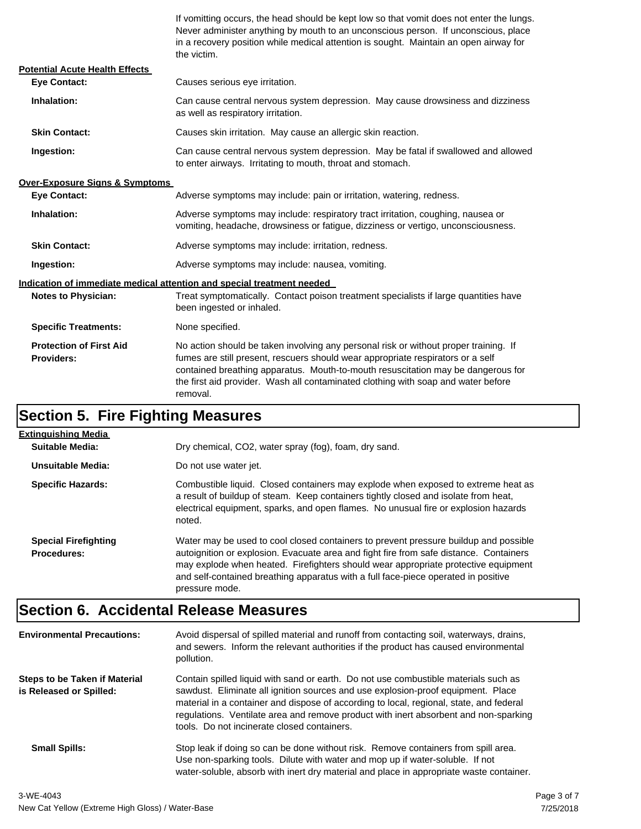If vomitting occurs, the head should be kept low so that vomit does not enter the lungs. Never administer anything by mouth to an unconscious person. If unconscious, place in a recovery position while medical attention is sought. Maintain an open airway for the victim.

| <b>Potential Acute Health Effects</b>               |                                                                                                                                                                                                                                                                                                                                                              |  |  |
|-----------------------------------------------------|--------------------------------------------------------------------------------------------------------------------------------------------------------------------------------------------------------------------------------------------------------------------------------------------------------------------------------------------------------------|--|--|
| <b>Eve Contact:</b>                                 | Causes serious eye irritation.                                                                                                                                                                                                                                                                                                                               |  |  |
| Inhalation:                                         | Can cause central nervous system depression. May cause drowsiness and dizziness<br>as well as respiratory irritation.                                                                                                                                                                                                                                        |  |  |
| <b>Skin Contact:</b>                                | Causes skin irritation. May cause an allergic skin reaction.                                                                                                                                                                                                                                                                                                 |  |  |
| Ingestion:                                          | Can cause central nervous system depression. May be fatal if swallowed and allowed<br>to enter airways. Irritating to mouth, throat and stomach.                                                                                                                                                                                                             |  |  |
| <b>Over-Exposure Signs &amp; Symptoms</b>           |                                                                                                                                                                                                                                                                                                                                                              |  |  |
| <b>Eye Contact:</b>                                 | Adverse symptoms may include: pain or irritation, watering, redness.                                                                                                                                                                                                                                                                                         |  |  |
| Inhalation:                                         | Adverse symptoms may include: respiratory tract irritation, coughing, nausea or<br>vomiting, headache, drowsiness or fatigue, dizziness or vertigo, unconsciousness.                                                                                                                                                                                         |  |  |
| <b>Skin Contact:</b>                                | Adverse symptoms may include: irritation, redness.                                                                                                                                                                                                                                                                                                           |  |  |
| Ingestion:                                          | Adverse symptoms may include: nausea, vomiting.                                                                                                                                                                                                                                                                                                              |  |  |
|                                                     | Indication of immediate medical attention and special treatment needed                                                                                                                                                                                                                                                                                       |  |  |
| <b>Notes to Physician:</b>                          | Treat symptomatically. Contact poison treatment specialists if large quantities have<br>been ingested or inhaled.                                                                                                                                                                                                                                            |  |  |
| <b>Specific Treatments:</b>                         | None specified.                                                                                                                                                                                                                                                                                                                                              |  |  |
| <b>Protection of First Aid</b><br><b>Providers:</b> | No action should be taken involving any personal risk or without proper training. If<br>fumes are still present, rescuers should wear appropriate respirators or a self<br>contained breathing apparatus. Mouth-to-mouth resuscitation may be dangerous for<br>the first aid provider. Wash all contaminated clothing with soap and water before<br>removal. |  |  |

# **Section 5. Fire Fighting Measures**

| Extinguishing Media                               |                                                                                                                                                                                                                                                                                                                                                                              |
|---------------------------------------------------|------------------------------------------------------------------------------------------------------------------------------------------------------------------------------------------------------------------------------------------------------------------------------------------------------------------------------------------------------------------------------|
| Suitable Media:                                   | Dry chemical, CO2, water spray (fog), foam, dry sand.                                                                                                                                                                                                                                                                                                                        |
| Unsuitable Media:                                 | Do not use water jet.                                                                                                                                                                                                                                                                                                                                                        |
| <b>Specific Hazards:</b>                          | Combustible liquid. Closed containers may explode when exposed to extreme heat as<br>a result of buildup of steam. Keep containers tightly closed and isolate from heat,<br>electrical equipment, sparks, and open flames. No unusual fire or explosion hazards<br>noted.                                                                                                    |
| <b>Special Firefighting</b><br><b>Procedures:</b> | Water may be used to cool closed containers to prevent pressure buildup and possible<br>autoignition or explosion. Evacuate area and fight fire from safe distance. Containers<br>may explode when heated. Firefighters should wear appropriate protective equipment<br>and self-contained breathing apparatus with a full face-piece operated in positive<br>pressure mode. |

# **Section 6. Accidental Release Measures**

| <b>Environmental Precautions:</b>                               | Avoid dispersal of spilled material and runoff from contacting soil, waterways, drains,<br>and sewers. Inform the relevant authorities if the product has caused environmental<br>pollution.                                                                                                                                                                                                              |
|-----------------------------------------------------------------|-----------------------------------------------------------------------------------------------------------------------------------------------------------------------------------------------------------------------------------------------------------------------------------------------------------------------------------------------------------------------------------------------------------|
| <b>Steps to be Taken if Material</b><br>is Released or Spilled: | Contain spilled liquid with sand or earth. Do not use combustible materials such as<br>sawdust. Eliminate all ignition sources and use explosion-proof equipment. Place<br>material in a container and dispose of according to local, regional, state, and federal<br>regulations. Ventilate area and remove product with inert absorbent and non-sparking<br>tools. Do not incinerate closed containers. |
| <b>Small Spills:</b>                                            | Stop leak if doing so can be done without risk. Remove containers from spill area.<br>Use non-sparking tools. Dilute with water and mop up if water-soluble. If not<br>water-soluble, absorb with inert dry material and place in appropriate waste container.                                                                                                                                            |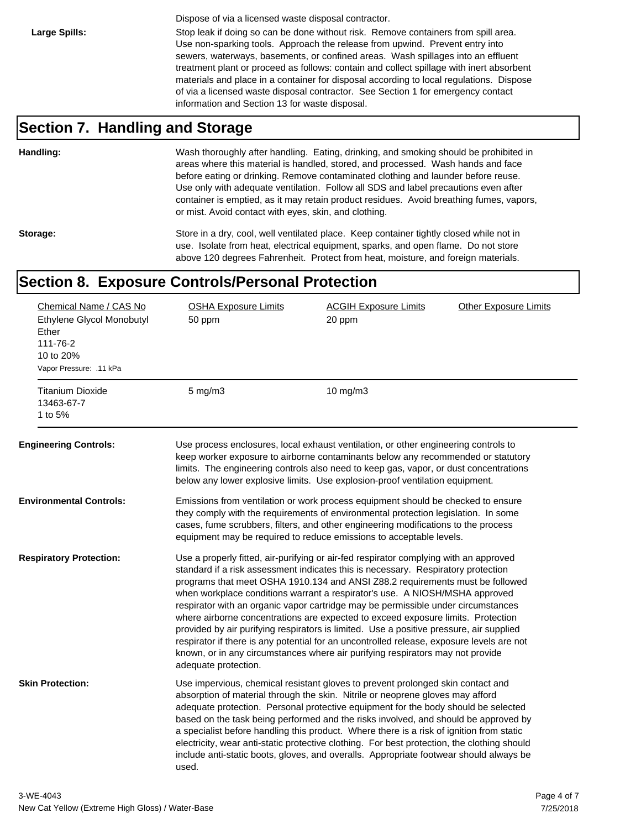Dispose of via a licensed waste disposal contractor.

Large Spills: Stop leak if doing so can be done without risk. Remove containers from spill area. Use non-sparking tools. Approach the release from upwind. Prevent entry into sewers, waterways, basements, or confined areas. Wash spillages into an effluent treatment plant or proceed as follows: contain and collect spillage with inert absorbent materials and place in a container for disposal according to local regulations. Dispose of via a licensed waste disposal contractor. See Section 1 for emergency contact information and Section 13 for waste disposal.

### **Section 7. Handling and Storage**

**Handling:** Wash thoroughly after handling. Eating, drinking, and smoking should be prohibited in areas where this material is handled, stored, and processed. Wash hands and face before eating or drinking. Remove contaminated clothing and launder before reuse. Use only with adequate ventilation. Follow all SDS and label precautions even after container is emptied, as it may retain product residues. Avoid breathing fumes, vapors, or mist. Avoid contact with eyes, skin, and clothing.

Storage: Store in a dry, cool, well ventilated place. Keep container tightly closed while not in use. Isolate from heat, electrical equipment, sparks, and open flame. Do not store above 120 degrees Fahrenheit. Protect from heat, moisture, and foreign materials.

### **Section 8. Exposure Controls/Personal Protection**

| Chemical Name / CAS No<br>Ethylene Glycol Monobutyl<br>Ether<br>111-76-2<br>10 to 20%<br>Vapor Pressure: .11 kPa<br><b>Titanium Dioxide</b> | <b>OSHA Exposure Limits</b><br>50 ppm<br>$5$ mg/m $3$ | <b>ACGIH Exposure Limits</b><br>20 ppm<br>$10$ mg/m $3$                                                                                                                                                                                                                                                                                                                                                                                                                                                                                                                                                                                                                                                                                                                                       | <b>Other Exposure Limits</b> |
|---------------------------------------------------------------------------------------------------------------------------------------------|-------------------------------------------------------|-----------------------------------------------------------------------------------------------------------------------------------------------------------------------------------------------------------------------------------------------------------------------------------------------------------------------------------------------------------------------------------------------------------------------------------------------------------------------------------------------------------------------------------------------------------------------------------------------------------------------------------------------------------------------------------------------------------------------------------------------------------------------------------------------|------------------------------|
| 13463-67-7<br>1 to 5%                                                                                                                       |                                                       |                                                                                                                                                                                                                                                                                                                                                                                                                                                                                                                                                                                                                                                                                                                                                                                               |                              |
| <b>Engineering Controls:</b>                                                                                                                |                                                       | Use process enclosures, local exhaust ventilation, or other engineering controls to<br>keep worker exposure to airborne contaminants below any recommended or statutory<br>limits. The engineering controls also need to keep gas, vapor, or dust concentrations<br>below any lower explosive limits. Use explosion-proof ventilation equipment.                                                                                                                                                                                                                                                                                                                                                                                                                                              |                              |
| Environmental Controls:                                                                                                                     |                                                       | Emissions from ventilation or work process equipment should be checked to ensure<br>they comply with the requirements of environmental protection legislation. In some<br>cases, fume scrubbers, filters, and other engineering modifications to the process<br>equipment may be required to reduce emissions to acceptable levels.                                                                                                                                                                                                                                                                                                                                                                                                                                                           |                              |
| <b>Respiratory Protection:</b>                                                                                                              | adequate protection.                                  | Use a properly fitted, air-purifying or air-fed respirator complying with an approved<br>standard if a risk assessment indicates this is necessary. Respiratory protection<br>programs that meet OSHA 1910.134 and ANSI Z88.2 requirements must be followed<br>when workplace conditions warrant a respirator's use. A NIOSH/MSHA approved<br>respirator with an organic vapor cartridge may be permissible under circumstances<br>where airborne concentrations are expected to exceed exposure limits. Protection<br>provided by air purifying respirators is limited. Use a positive pressure, air supplied<br>respirator if there is any potential for an uncontrolled release, exposure levels are not<br>known, or in any circumstances where air purifying respirators may not provide |                              |
| <b>Skin Protection:</b>                                                                                                                     | used.                                                 | Use impervious, chemical resistant gloves to prevent prolonged skin contact and<br>absorption of material through the skin. Nitrile or neoprene gloves may afford<br>adequate protection. Personal protective equipment for the body should be selected<br>based on the task being performed and the risks involved, and should be approved by<br>a specialist before handling this product. Where there is a risk of ignition from static<br>electricity, wear anti-static protective clothing. For best protection, the clothing should<br>include anti-static boots, gloves, and overalls. Appropriate footwear should always be                                                                                                                                                           |                              |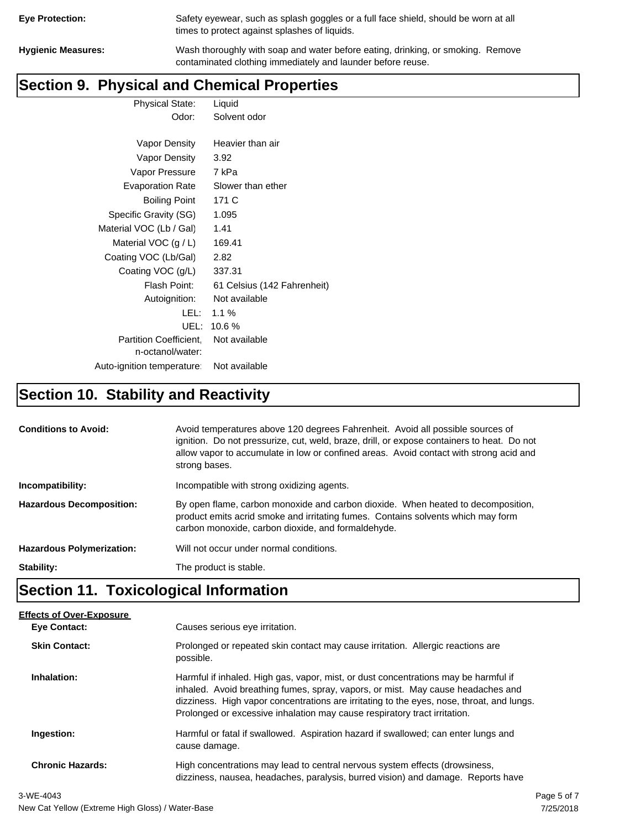| <b>Eye Protection:</b> |  |
|------------------------|--|
|                        |  |

Safety eyewear, such as splash goggles or a full face shield, should be worn at all times to protect against splashes of liquids.

**Hygienic Measures:** Wash thoroughly with soap and water before eating, drinking, or smoking. Remove contaminated clothing immediately and launder before reuse.

### **Section 9. Physical and Chemical Properties**

Physical State: Liquid Odor: Solvent odor Vapor Density Heavier than air

| Vapor Density                                     | 3.92                        |
|---------------------------------------------------|-----------------------------|
| Vapor Pressure                                    | 7 kPa                       |
| <b>Evaporation Rate</b>                           | Slower than ether           |
| <b>Boiling Point</b>                              | 171 C                       |
| Specific Gravity (SG)                             | 1.095                       |
| Material VOC (Lb / Gal)                           | 1.41                        |
| Material VOC $(g / L)$                            | 169.41                      |
| Coating VOC (Lb/Gal)                              | 2.82                        |
| Coating VOC (g/L)                                 | 337.31                      |
| Flash Point:                                      | 61 Celsius (142 Fahrenheit) |
| Autoignition:                                     | Not available               |
| LEL:                                              | 1.1 $%$                     |
| UEL:                                              | 10.6%                       |
| <b>Partition Coefficient.</b><br>n-octanol/water: | Not available               |
| Auto-ignition temperature:                        | Not available               |

# **Section 10. Stability and Reactivity**

| <b>Conditions to Avoid:</b>      | Avoid temperatures above 120 degrees Fahrenheit. Avoid all possible sources of<br>ignition. Do not pressurize, cut, weld, braze, drill, or expose containers to heat. Do not<br>allow vapor to accumulate in low or confined areas. Avoid contact with strong acid and<br>strong bases. |
|----------------------------------|-----------------------------------------------------------------------------------------------------------------------------------------------------------------------------------------------------------------------------------------------------------------------------------------|
| Incompatibility:                 | Incompatible with strong oxidizing agents.                                                                                                                                                                                                                                              |
| <b>Hazardous Decomposition:</b>  | By open flame, carbon monoxide and carbon dioxide. When heated to decomposition,<br>product emits acrid smoke and irritating fumes. Contains solvents which may form<br>carbon monoxide, carbon dioxide, and formaldehyde.                                                              |
| <b>Hazardous Polymerization:</b> | Will not occur under normal conditions.                                                                                                                                                                                                                                                 |
| Stability:                       | The product is stable.                                                                                                                                                                                                                                                                  |

# **Section 11. Toxicological Information**

| <b>Effects of Over-Exposure</b> |                                                                                                                                                                                                                                                                                                                                                  |
|---------------------------------|--------------------------------------------------------------------------------------------------------------------------------------------------------------------------------------------------------------------------------------------------------------------------------------------------------------------------------------------------|
| Eye Contact:                    | Causes serious eye irritation.                                                                                                                                                                                                                                                                                                                   |
| <b>Skin Contact:</b>            | Prolonged or repeated skin contact may cause irritation. Allergic reactions are<br>possible.                                                                                                                                                                                                                                                     |
| Inhalation:                     | Harmful if inhaled. High gas, vapor, mist, or dust concentrations may be harmful if<br>inhaled. Avoid breathing fumes, spray, vapors, or mist. May cause headaches and<br>dizziness. High vapor concentrations are irritating to the eyes, nose, throat, and lungs.<br>Prolonged or excessive inhalation may cause respiratory tract irritation. |
| Ingestion:                      | Harmful or fatal if swallowed. Aspiration hazard if swallowed; can enter lungs and<br>cause damage.                                                                                                                                                                                                                                              |
| <b>Chronic Hazards:</b>         | High concentrations may lead to central nervous system effects (drowsiness,<br>dizziness, nausea, headaches, paralysis, burred vision) and damage. Reports have                                                                                                                                                                                  |
|                                 |                                                                                                                                                                                                                                                                                                                                                  |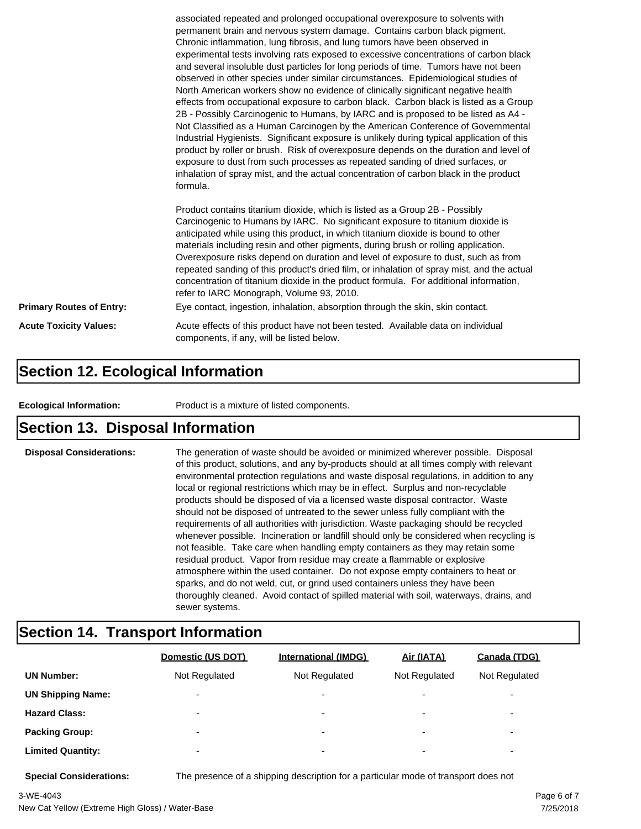|                                 | associated repeated and prolonged occupational overexposure to solvents with<br>permanent brain and nervous system damage. Contains carbon black pigment.<br>Chronic inflammation, lung fibrosis, and lung tumors have been observed in<br>experimental tests involving rats exposed to excessive concentrations of carbon black<br>and several insoluble dust particles for long periods of time. Tumors have not been<br>observed in other species under similar circumstances. Epidemiological studies of<br>North American workers show no evidence of clinically significant negative health<br>effects from occupational exposure to carbon black. Carbon black is listed as a Group<br>2B - Possibly Carcinogenic to Humans, by IARC and is proposed to be listed as A4 -<br>Not Classified as a Human Carcinogen by the American Conference of Governmental<br>Industrial Hygienists. Significant exposure is unlikely during typical application of this<br>product by roller or brush. Risk of overexposure depends on the duration and level of<br>exposure to dust from such processes as repeated sanding of dried surfaces, or<br>inhalation of spray mist, and the actual concentration of carbon black in the product<br>formula.<br>Product contains titanium dioxide, which is listed as a Group 2B - Possibly<br>Carcinogenic to Humans by IARC. No significant exposure to titanium dioxide is<br>anticipated while using this product, in which titanium dioxide is bound to other<br>materials including resin and other pigments, during brush or rolling application.<br>Overexposure risks depend on duration and level of exposure to dust, such as from |  |
|---------------------------------|------------------------------------------------------------------------------------------------------------------------------------------------------------------------------------------------------------------------------------------------------------------------------------------------------------------------------------------------------------------------------------------------------------------------------------------------------------------------------------------------------------------------------------------------------------------------------------------------------------------------------------------------------------------------------------------------------------------------------------------------------------------------------------------------------------------------------------------------------------------------------------------------------------------------------------------------------------------------------------------------------------------------------------------------------------------------------------------------------------------------------------------------------------------------------------------------------------------------------------------------------------------------------------------------------------------------------------------------------------------------------------------------------------------------------------------------------------------------------------------------------------------------------------------------------------------------------------------------------------------------------------------------------------------------------------|--|
|                                 | repeated sanding of this product's dried film, or inhalation of spray mist, and the actual<br>concentration of titanium dioxide in the product formula. For additional information,<br>refer to IARC Monograph, Volume 93, 2010.                                                                                                                                                                                                                                                                                                                                                                                                                                                                                                                                                                                                                                                                                                                                                                                                                                                                                                                                                                                                                                                                                                                                                                                                                                                                                                                                                                                                                                                   |  |
| <b>Primary Routes of Entry:</b> | Eye contact, ingestion, inhalation, absorption through the skin, skin contact.                                                                                                                                                                                                                                                                                                                                                                                                                                                                                                                                                                                                                                                                                                                                                                                                                                                                                                                                                                                                                                                                                                                                                                                                                                                                                                                                                                                                                                                                                                                                                                                                     |  |
| <b>Acute Toxicity Values:</b>   | Acute effects of this product have not been tested. Available data on individual<br>components, if any, will be listed below.                                                                                                                                                                                                                                                                                                                                                                                                                                                                                                                                                                                                                                                                                                                                                                                                                                                                                                                                                                                                                                                                                                                                                                                                                                                                                                                                                                                                                                                                                                                                                      |  |

### **Section 12. Ecological Information**

**Ecological Information:** Product is a mixture of listed components.

### **Section 13. Disposal Information**

**Disposal Considerations:** The generation of waste should be avoided or minimized wherever possible. Disposal of this product, solutions, and any by-products should at all times comply with relevant environmental protection regulations and waste disposal regulations, in addition to any local or regional restrictions which may be in effect. Surplus and non-recyclable products should be disposed of via a licensed waste disposal contractor. Waste should not be disposed of untreated to the sewer unless fully compliant with the requirements of all authorities with jurisdiction. Waste packaging should be recycled whenever possible. Incineration or landfill should only be considered when recycling is not feasible. Take care when handling empty containers as they may retain some residual product. Vapor from residue may create a flammable or explosive atmosphere within the used container. Do not expose empty containers to heat or sparks, and do not weld, cut, or grind used containers unless they have been thoroughly cleaned. Avoid contact of spilled material with soil, waterways, drains, and sewer systems.

### **Section 14. Transport Information**

|                          | Domestic (US DOT)        | <b>International (IMDG)</b> | Air (IATA)               | Canada (TDG)             |
|--------------------------|--------------------------|-----------------------------|--------------------------|--------------------------|
| <b>UN Number:</b>        | Not Regulated            | Not Regulated               | Not Regulated            | Not Regulated            |
| <b>UN Shipping Name:</b> | $\overline{\phantom{0}}$ | $\overline{\phantom{0}}$    | $\overline{\phantom{0}}$ | $\overline{\phantom{0}}$ |
| <b>Hazard Class:</b>     | $\overline{\phantom{0}}$ | $\overline{\phantom{0}}$    | $\overline{\phantom{0}}$ | $\overline{\phantom{0}}$ |
| <b>Packing Group:</b>    | $\overline{\phantom{0}}$ | ۰                           | $\overline{\phantom{0}}$ | $\overline{\phantom{0}}$ |
| <b>Limited Quantity:</b> | $\overline{\phantom{0}}$ | $\overline{\phantom{0}}$    | $\overline{\phantom{0}}$ | $\overline{\phantom{a}}$ |

**Special Considerations:** The presence of a shipping description for a particular mode of transport does not